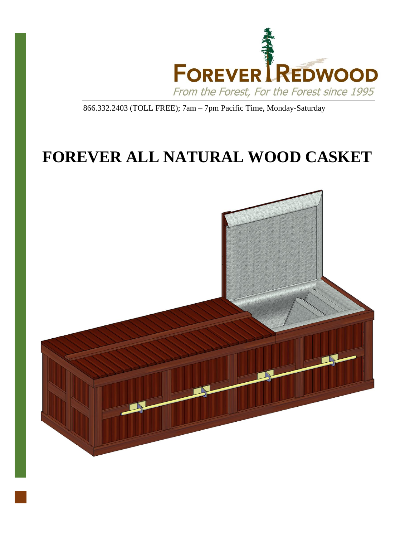

866.332.2403 (TOLL FREE); 7am – 7pm Pacific Time, Monday-Saturday

# **FOREVER ALL NATURAL WOOD CASKET**

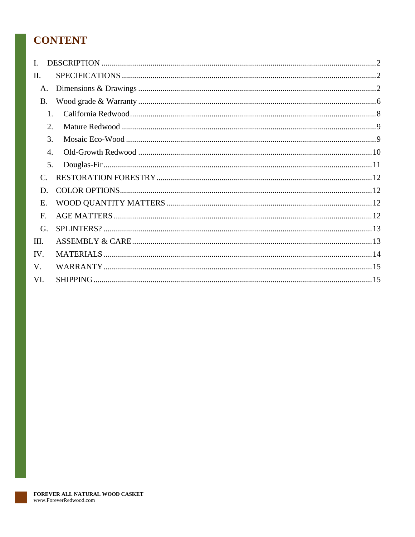# **CONTENT**

| L.               |    |  |
|------------------|----|--|
| Π.               |    |  |
| A.               |    |  |
| B.               |    |  |
|                  | 1. |  |
| 2.               |    |  |
| 3.               |    |  |
| $\overline{4}$ . |    |  |
|                  | 5. |  |
| $\mathcal{C}$ .  |    |  |
| D.               |    |  |
| Ε.               |    |  |
| F.               |    |  |
| G.               |    |  |
| III.             |    |  |
| IV.              |    |  |
| V.               |    |  |
| VI.              |    |  |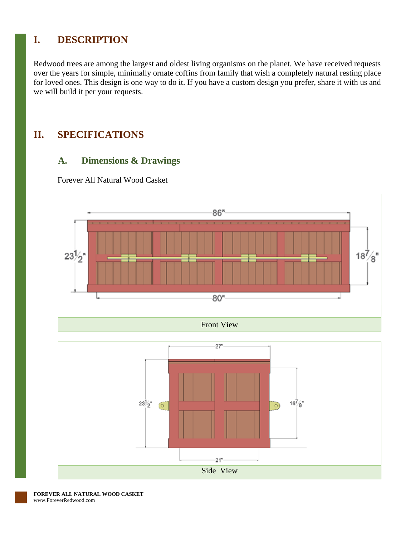# <span id="page-2-0"></span>**I. DESCRIPTION**

Redwood trees are among the largest and oldest living organisms on the planet. We have received requests over the years for simple, minimally ornate coffins from family that wish a completely natural resting place for loved ones. This design is one way to do it. If you have a custom design you prefer, share it with us and we will build it per your requests.

## <span id="page-2-2"></span><span id="page-2-1"></span>**II. SPECIFICATIONS**

## **A. Dimensions & Drawings**

Forever All Natural Wood Casket





**FOREVER ALL NATURAL WOOD CASKET** www.ForeverRedwood.com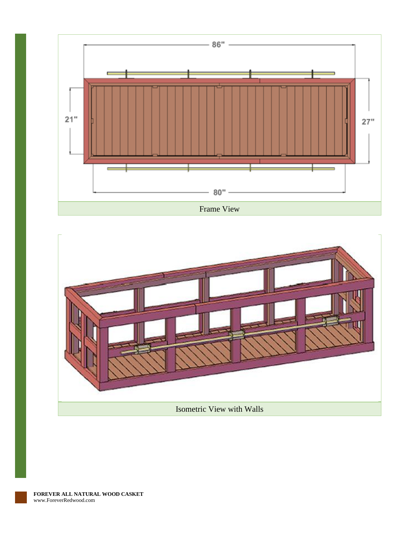

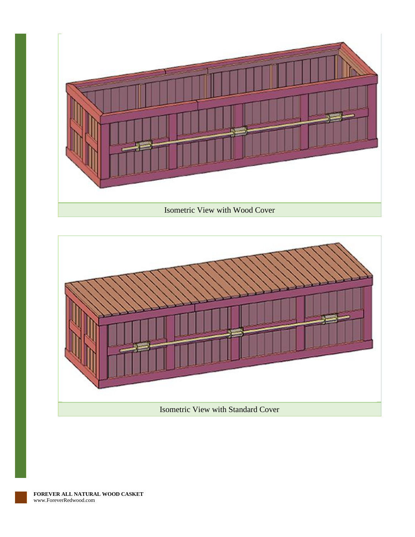

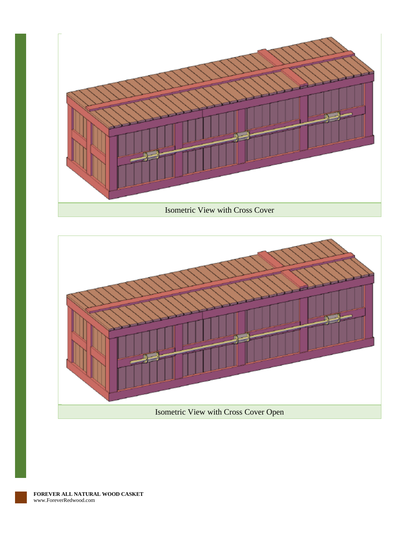

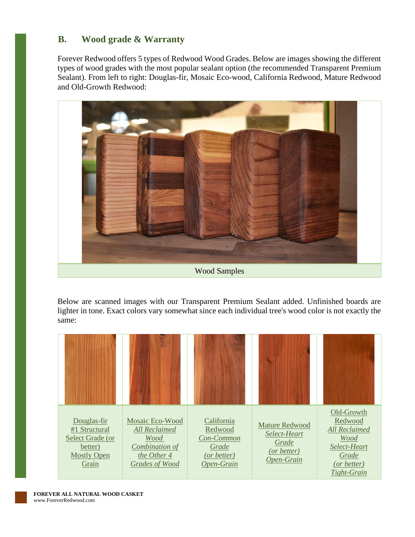## <span id="page-6-0"></span>**B. Wood grade & Warranty**

Forever Redwood offers 5 types of Redwood Wood Grades. Below are images showing the different types of wood grades with the most popular sealant option (the recommended Transparent Premium Sealant). From left to right: Douglas-fir, Mosaic Eco-wood, California Redwood, Mature Redwood and Old-Growth Redwood:



Below are scanned images with our Transparent Premium Sealant added. Unfinished boards are lighter in tone. Exact colors vary somewhat since each individual tree's wood color is not exactly the same:

| Douglas-fir<br>#1 Structural<br>Select Grade (or<br>better)<br><b>Mostly Open</b><br>Grain | Mosaic Eco-Wood<br><b>All Reclaimed</b><br>Wood<br>Combination of<br>the Other 4<br>Grades of Wood | California<br>Redwood<br>Con-Common<br>Grade<br>(or better)<br>Open-Grain | <b>Mature Redwood</b><br>Select-Heart<br>Grade<br>(or better)<br>Open-Grain | Old-Growth<br>Redwood<br><b>All Reclaimed</b><br>Wood<br>Select-Heart<br>Grade<br>(or better)<br>Tight-Grain |
|--------------------------------------------------------------------------------------------|----------------------------------------------------------------------------------------------------|---------------------------------------------------------------------------|-----------------------------------------------------------------------------|--------------------------------------------------------------------------------------------------------------|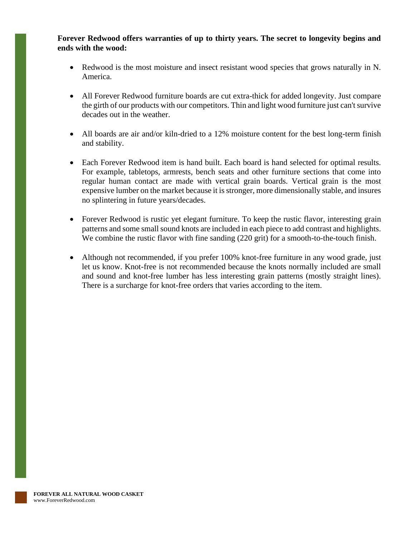**Forever Redwood offers warranties of up to thirty years. The secret to longevity begins and ends with the wood:**

- Redwood is the most moisture and insect resistant wood species that grows naturally in N. America.
- All Forever Redwood furniture boards are cut extra-thick for added longevity. Just compare the girth of our products with our competitors. Thin and light wood furniture just can't survive decades out in the weather.
- All boards are air and/or kiln-dried to a 12% moisture content for the best long-term finish and stability.
- Each Forever Redwood item is hand built. Each board is hand selected for optimal results. For example, tabletops, armrests, bench seats and other furniture sections that come into regular human contact are made with vertical grain boards. Vertical grain is the most expensive lumber on the market because it is stronger, more dimensionally stable, and insures no splintering in future years/decades.
- Forever Redwood is rustic yet elegant furniture. To keep the rustic flavor, interesting grain patterns and some small sound knots are included in each piece to add contrast and highlights. We combine the rustic flavor with fine sanding  $(220 \text{ grit})$  for a smooth-to-the-touch finish.
- Although not recommended, if you prefer 100% knot-free furniture in any wood grade, just let us know. Knot-free is not recommended because the knots normally included are small and sound and knot-free lumber has less interesting grain patterns (mostly straight lines). There is a surcharge for knot-free orders that varies according to the item.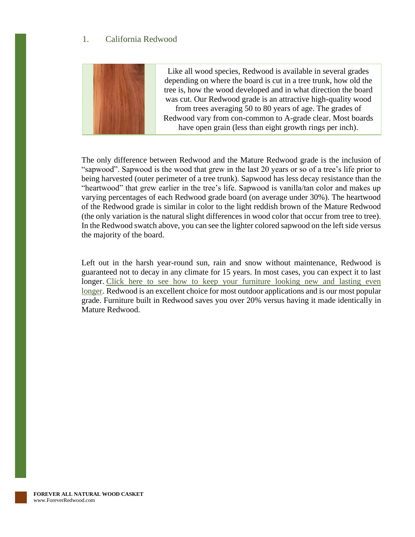#### <span id="page-8-0"></span>1. California Redwood



Like all wood species, Redwood is available in several grades depending on where the board is cut in a tree trunk, how old the tree is, how the wood developed and in what direction the board was cut. Our Redwood grade is an attractive high-quality wood from trees averaging 50 to 80 years of age. The grades of Redwood vary from con-common to A-grade clear. Most boards have open grain (less than eight growth rings per inch).

The only difference between Redwood and the Mature Redwood grade is the inclusion of "sapwood". Sapwood is the wood that grew in the last 20 years or so of a tree's life prior to being harvested (outer perimeter of a tree trunk). Sapwood has less decay resistance than the "heartwood" that grew earlier in the tree's life. Sapwood is vanilla/tan color and makes up varying percentages of each Redwood grade board (on average under 30%). The heartwood of the Redwood grade is similar in color to the light reddish brown of the Mature Redwood (the only variation is the natural slight differences in wood color that occur from tree to tree). In the Redwood swatch above, you can see the lighter colored sapwood on the left side versus the majority of the board.

Left out in the harsh year-round sun, rain and snow without maintenance, Redwood is guaranteed not to decay in any climate for 15 years. In most cases, you can expect it to last longer. Click here to see how to keep your furniture looking new and lasting even [longer.](https://www.foreverredwood.com/redwood-furniture/care-finish) Redwood is an excellent choice for most outdoor applications and is our most popular grade. Furniture built in Redwood saves you over 20% versus having it made identically in Mature Redwood.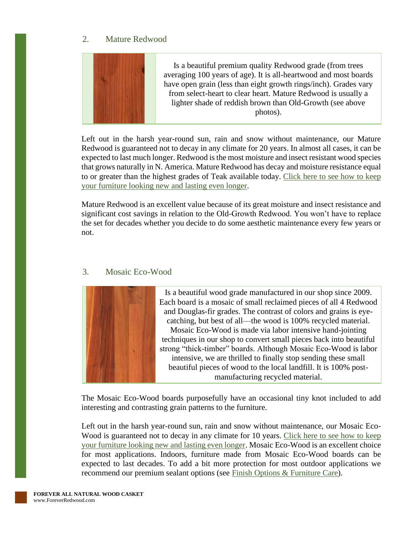#### <span id="page-9-0"></span>2. Mature Redwood



Left out in the harsh year-round sun, rain and snow without maintenance, our Mature Redwood is guaranteed not to decay in any climate for 20 years. In almost all cases, it can be expected to last much longer. Redwood is the most moisture and insect resistant wood species that grows naturally in N. America. Mature Redwood has decay and moisture resistance equal to or greater than the highest grades of Teak available today. [Click here to see how to keep](https://www.foreverredwood.com/redwood-furniture/care-finish)  [your furniture looking new and lasting even longer.](https://www.foreverredwood.com/redwood-furniture/care-finish)

Mature Redwood is an excellent value because of its great moisture and insect resistance and significant cost savings in relation to the Old-Growth Redwood. You won't have to replace the set for decades whether you decide to do some aesthetic maintenance every few years or not.

#### <span id="page-9-1"></span>3. Mosaic Eco-Wood



The Mosaic Eco-Wood boards purposefully have an occasional tiny knot included to add interesting and contrasting grain patterns to the furniture.

Left out in the harsh year-round sun, rain and snow without maintenance, our Mosaic Eco-Wood is guaranteed not to decay in any climate for 10 years. Click here to see how to keep your [furniture looking new and lasting even longer.](https://www.foreverredwood.com/redwood-furniture/care-finish) Mosaic Eco-Wood is an excellent choice for most applications. Indoors, furniture made from Mosaic Eco-Wood boards can be expected to last decades. To add a bit more protection for most outdoor applications we recommend our premium sealant options (see [Finish Options & Furniture Care\)](https://www.foreverredwood.com/redwood-furniture/care-finish).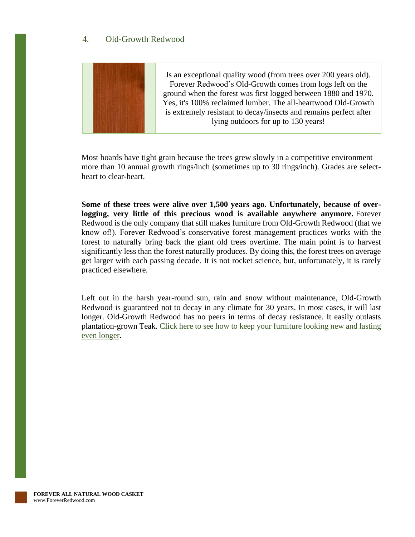### <span id="page-10-0"></span>4. Old-Growth Redwood



Most boards have tight grain because the trees grew slowly in a competitive environment more than 10 annual growth rings/inch (sometimes up to 30 rings/inch). Grades are selectheart to clear-heart.

**Some of these trees were alive over 1,500 years ago. Unfortunately, because of overlogging, very little of this precious wood is available anywhere anymore.** Forever Redwood is the only company that still makes furniture from Old-Growth Redwood (that we know of!). Forever Redwood's conservative forest management practices works with the forest to naturally bring back the giant old trees overtime. The main point is to harvest significantly less than the forest naturally produces. By doing this, the forest trees on average get larger with each passing decade. It is not rocket science, but, unfortunately, it is rarely practiced elsewhere.

Left out in the harsh year-round sun, rain and snow without maintenance, Old-Growth Redwood is guaranteed not to decay in any climate for 30 years. In most cases, it will last longer. Old-Growth Redwood has no peers in terms of decay resistance. It easily outlasts plantation-grown Teak. [Click here to see how to keep your furniture looking new and lasting](https://www.foreverredwood.com/redwood-furniture/care-finish)  [even longer.](https://www.foreverredwood.com/redwood-furniture/care-finish)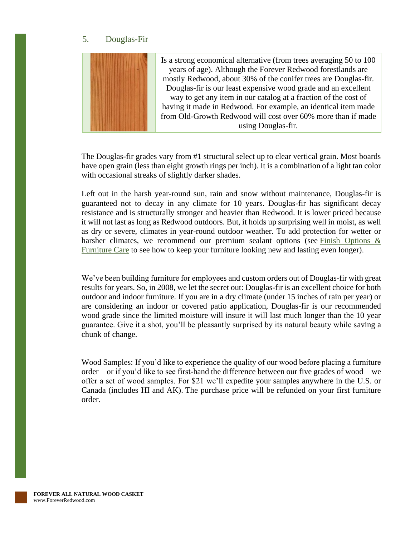#### <span id="page-11-0"></span>5. Douglas-Fir



The Douglas-fir grades vary from #1 structural select up to clear vertical grain. Most boards have open grain (less than eight growth rings per inch). It is a combination of a light tan color with occasional streaks of slightly darker shades.

Left out in the harsh year-round sun, rain and snow without maintenance, Douglas-fir is guaranteed not to decay in any climate for 10 years. Douglas-fir has significant decay resistance and is structurally stronger and heavier than Redwood. It is lower priced because it will not last as long as Redwood outdoors. But, it holds up surprising well in moist, as well as dry or severe, climates in year-round outdoor weather. To add protection for wetter or harsher climates, we recommend our premium sealant options (see Finish Options & [Furniture Care](https://www.foreverredwood.com/redwood-furniture/care-finish) to see how to keep your furniture looking new and lasting even longer).

We've been building furniture for employees and custom orders out of Douglas-fir with great results for years. So, in 2008, we let the secret out: Douglas-fir is an excellent choice for both outdoor and indoor furniture. If you are in a dry climate (under 15 inches of rain per year) or are considering an indoor or covered patio application, Douglas-fir is our recommended wood grade since the limited moisture will insure it will last much longer than the 10 year guarantee. Give it a shot, you'll be pleasantly surprised by its natural beauty while saving a chunk of change.

Wood Samples: If you'd like to experience the quality of our wood before placing a furniture order—or if you'd like to see first-hand the difference between our five grades of wood—we offer a set of wood samples. For \$21 we'll expedite your samples anywhere in the U.S. or Canada (includes HI and AK). The purchase price will be refunded on your first furniture order.

**FOREVER ALL NATURAL WOOD CASKET** www.ForeverRedwood.com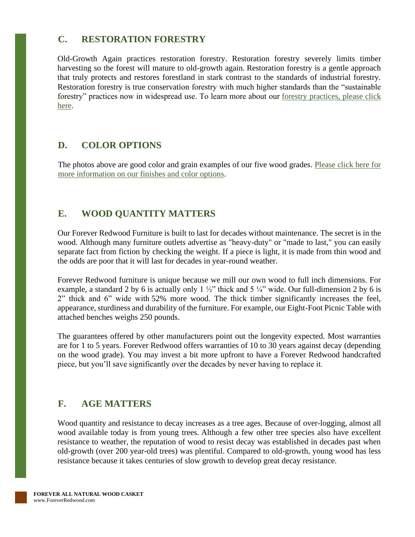## <span id="page-12-0"></span>**C. RESTORATION FORESTRY**

Old-Growth Again practices restoration forestry. Restoration forestry severely limits timber harvesting so the forest will mature to old-growth again. Restoration forestry is a gentle approach that truly protects and restores forestland in stark contrast to the standards of industrial forestry. Restoration forestry is true conservation forestry with much higher standards than the "sustainable forestry" practices now in widespread use. To learn more about our [forestry practices, please click](https://www.foreverredwood.com/restoration-forestry/eco-forestry)  [here.](https://www.foreverredwood.com/restoration-forestry/eco-forestry)

## <span id="page-12-1"></span>**D. COLOR OPTIONS**

The photos above are good color and grain examples of our five wood grades. Please click here for [more information on our finishes and color options.](https://www.foreverredwood.com/redwood-furniture/care-finish)

## <span id="page-12-2"></span>**E. WOOD QUANTITY MATTERS**

Our Forever Redwood Furniture is built to last for decades without maintenance. The secret is in the wood. Although many furniture outlets advertise as "heavy-duty" or "made to last," you can easily separate fact from fiction by checking the weight. If a piece is light, it is made from thin wood and the odds are poor that it will last for decades in year-round weather.

Forever Redwood furniture is unique because we mill our own wood to full inch dimensions. For example, a standard 2 by 6 is actually only 1  $\frac{1}{2}$ " thick and 5  $\frac{1}{4}$ " wide. Our full-dimension 2 by 6 is 2" thick and 6" wide with 52% more wood. The thick timber significantly increases the feel, appearance, sturdiness and durability of the furniture. For example, our Eight-Foot Picnic Table with attached benches weighs 250 pounds.

The guarantees offered by other manufacturers point out the longevity expected. Most warranties are for 1 to 5 years. Forever Redwood offers warranties of 10 to 30 years against decay (depending on the wood grade). You may invest a bit more upfront to have a Forever Redwood handcrafted piece, but you'll save significantly over the decades by never having to replace it.

## <span id="page-12-3"></span>**F. AGE MATTERS**

Wood quantity and resistance to decay increases as a tree ages. Because of over-logging, almost all wood available today is from young trees. Although a few other tree species also have excellent resistance to weather, the reputation of wood to resist decay was established in decades past when old-growth (over 200 year-old trees) was plentiful. Compared to old-growth, young wood has less resistance because it takes centuries of slow growth to develop great decay resistance.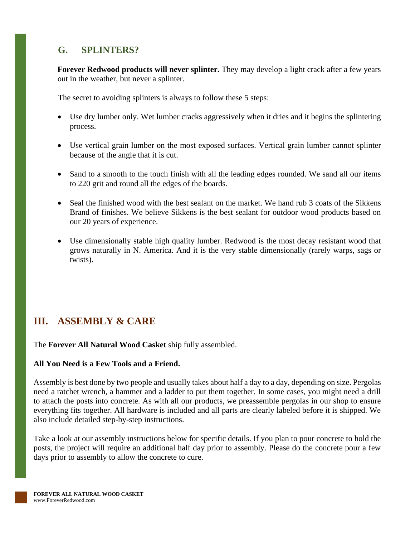## <span id="page-13-0"></span>**G. SPLINTERS?**

**Forever Redwood products will never splinter.** They may develop a light crack after a few years out in the weather, but never a splinter.

The secret to avoiding splinters is always to follow these 5 steps:

- Use dry lumber only. Wet lumber cracks aggressively when it dries and it begins the splintering process.
- Use vertical grain lumber on the most exposed surfaces. Vertical grain lumber cannot splinter because of the angle that it is cut.
- Sand to a smooth to the touch finish with all the leading edges rounded. We sand all our items to 220 grit and round all the edges of the boards.
- Seal the finished wood with the best sealant on the market. We hand rub 3 coats of the Sikkens Brand of finishes. We believe Sikkens is the best sealant for outdoor wood products based on our 20 years of experience.
- Use dimensionally stable high quality lumber. Redwood is the most decay resistant wood that grows naturally in N. America. And it is the very stable dimensionally (rarely warps, sags or twists).

# <span id="page-13-1"></span>**III. ASSEMBLY & CARE**

The **Forever All Natural Wood Casket** ship fully assembled.

#### **All You Need is a Few Tools and a Friend.**

Assembly is best done by two people and usually takes about half a day to a day, depending on size. Pergolas need a ratchet wrench, a hammer and a ladder to put them together. In some cases, you might need a drill to attach the posts into concrete. As with all our products, we preassemble pergolas in our shop to ensure everything fits together. All hardware is included and all parts are clearly labeled before it is shipped. We also include detailed step-by-step instructions.

Take a look at our assembly instructions below for specific details. If you plan to pour concrete to hold the posts, the project will require an additional half day prior to assembly. Please do the concrete pour a few days prior to assembly to allow the concrete to cure.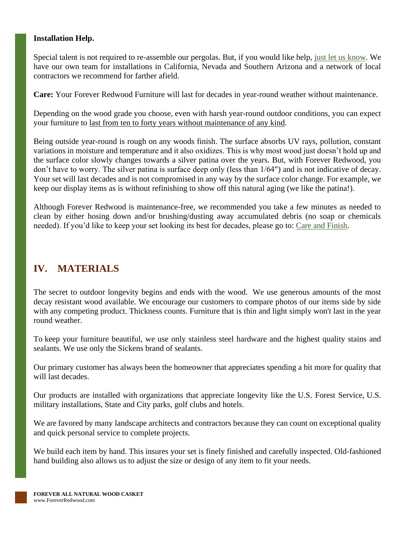#### **Installation Help.**

Special talent is not required to re-assemble our pergolas. But, if you would like help, [just let us know.](https://www.foreverredwood.com/information/contact) We have our own team for installations in California, Nevada and Southern Arizona and a network of local contractors we recommend for farther afield.

**Care:** Your Forever Redwood Furniture will last for decades in year-round weather without maintenance.

Depending on the wood grade you choose, even with harsh year-round outdoor conditions, you can expect your furniture to last from ten to forty years without maintenance of any kind.

Being outside year-round is rough on any woods finish. The surface absorbs UV rays, pollution, constant variations in moisture and temperature and it also oxidizes. This is why most wood just doesn't hold up and the surface color slowly changes towards a silver patina over the years. But, with Forever Redwood, you don't have to worry. The silver patina is surface deep only (less than 1/64") and is not indicative of decay. Your set will last decades and is not compromised in any way by the surface color change. For example, we keep our display items as is without refinishing to show off this natural aging (we like the patina!).

Although Forever Redwood is maintenance-free, we recommended you take a few minutes as needed to clean by either hosing down and/or brushing/dusting away accumulated debris (no soap or chemicals needed). If you'd like to keep your set looking its best for decades, please go to: [Care and Finish.](https://www.foreverredwood.com/redwood-furniture/care-finish)

## <span id="page-14-0"></span>**IV. MATERIALS**

The secret to outdoor longevity begins and ends with the wood. We use generous amounts of the most decay resistant wood available. We encourage our customers to compare photos of our items side by side with any competing product. Thickness counts. Furniture that is thin and light simply won't last in the year round weather.

To keep your furniture beautiful, we use only stainless steel hardware and the highest quality stains and sealants. We use only the Sickens brand of sealants.

Our primary customer has always been the homeowner that appreciates spending a bit more for quality that will last decades.

Our products are installed with organizations that appreciate longevity like the U.S. Forest Service, U.S. military installations, State and City parks, golf clubs and hotels.

We are favored by many landscape architects and contractors because they can count on exceptional quality and quick personal service to complete projects.

We build each item by hand. This insures your set is finely finished and carefully inspected. Old-fashioned hand building also allows us to adjust the size or design of any item to fit your needs.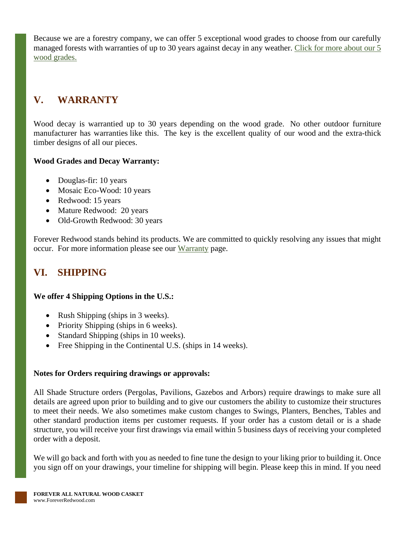Because we are a forestry company, we can offer 5 exceptional wood grades to choose from our carefully managed forests with warranties of up to 30 years against decay in any weather. [Click for more about our 5](https://www.foreverredwood.com/redwood-furniture/wood-grade/)  [wood grades.](https://www.foreverredwood.com/redwood-furniture/wood-grade/)

# <span id="page-15-0"></span>**V. WARRANTY**

Wood decay is warrantied up to 30 years depending on the wood grade. No other outdoor furniture manufacturer has warranties like this. The key is the excellent quality of our wood and the extra-thick timber designs of all our pieces.

#### **Wood Grades and Decay Warranty:**

- Douglas-fir: 10 years
- Mosaic Eco-Wood: 10 years
- Redwood: 15 years
- Mature Redwood: 20 years
- Old-Growth Redwood: 30 years

Forever Redwood stands behind its products. We are committed to quickly resolving any issues that might occur. For more information please see our [Warranty](https://www.foreverredwood.com/redwood-furniture/warranty) page.

# <span id="page-15-1"></span>**VI. SHIPPING**

#### **We offer 4 Shipping Options in the U.S.:**

- Rush Shipping (ships in 3 weeks).
- Priority Shipping (ships in 6 weeks).
- Standard Shipping (ships in 10 weeks).
- Free Shipping in the Continental U.S. (ships in 14 weeks).

#### **Notes for Orders requiring drawings or approvals:**

All Shade Structure orders (Pergolas, Pavilions, Gazebos and Arbors) require drawings to make sure all details are agreed upon prior to building and to give our customers the ability to customize their structures to meet their needs. We also sometimes make custom changes to Swings, Planters, Benches, Tables and other standard production items per customer requests. If your order has a custom detail or is a shade structure, you will receive your first drawings via email within 5 business days of receiving your completed order with a deposit.

We will go back and forth with you as needed to fine tune the design to your liking prior to building it. Once you sign off on your drawings, your timeline for shipping will begin. Please keep this in mind. If you need